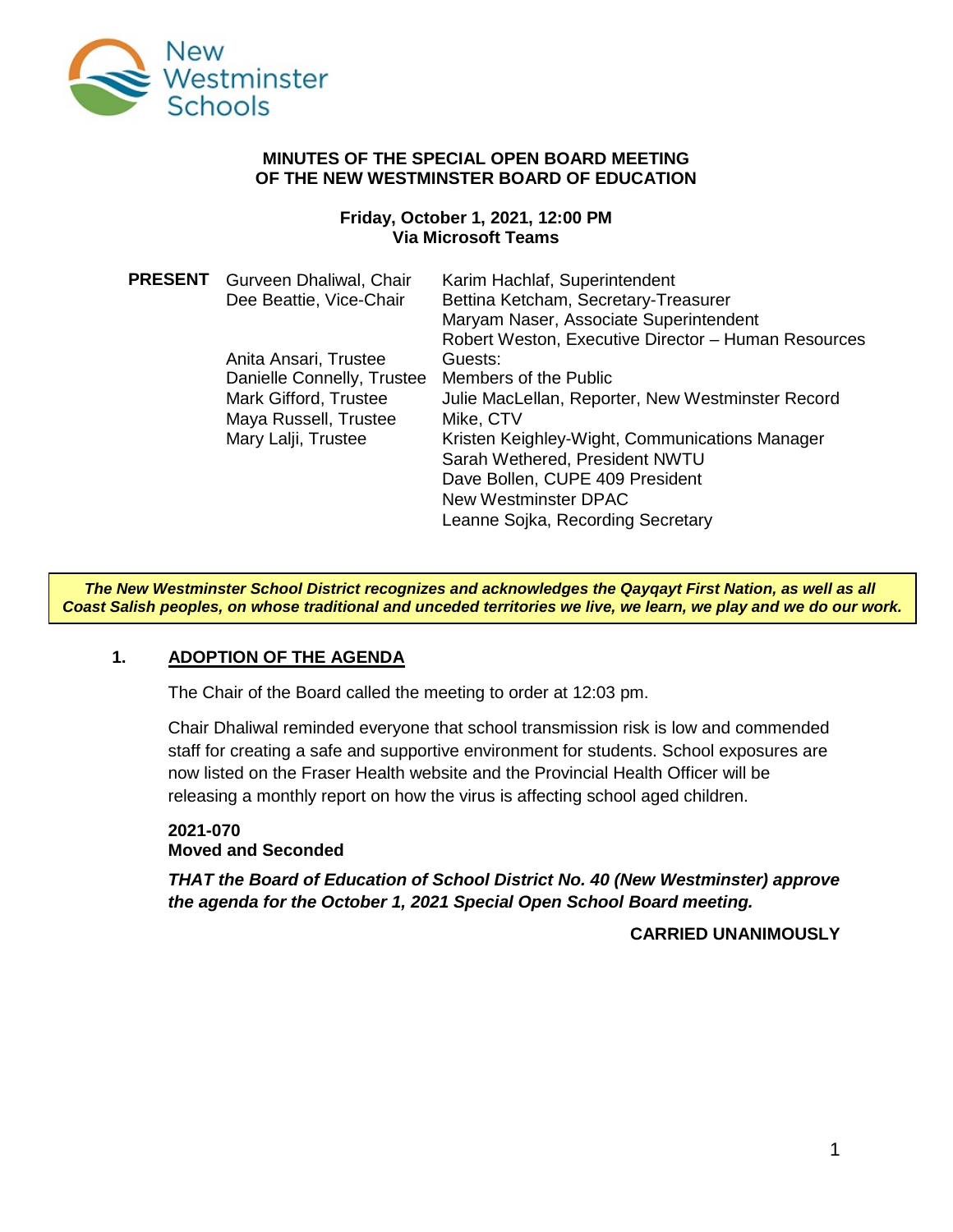

#### **MINUTES OF THE SPECIAL OPEN BOARD MEETING OF THE NEW WESTMINSTER BOARD OF EDUCATION**

#### **Friday, October 1, 2021, 12:00 PM Via Microsoft Teams**

| <b>PRESENT</b> Gurveen Dhaliwal, Chair<br>Dee Beattie, Vice-Chair | Karim Hachlaf, Superintendent<br>Bettina Ketcham, Secretary-Treasurer<br>Maryam Naser, Associate Superintendent<br>Robert Weston, Executive Director - Human Resources |
|-------------------------------------------------------------------|------------------------------------------------------------------------------------------------------------------------------------------------------------------------|
| Anita Ansari, Trustee                                             | Guests:                                                                                                                                                                |
| Danielle Connelly, Trustee                                        | Members of the Public                                                                                                                                                  |
| Mark Gifford, Trustee                                             | Julie MacLellan, Reporter, New Westminster Record                                                                                                                      |
| Maya Russell, Trustee                                             | Mike, CTV                                                                                                                                                              |
| Mary Lalji, Trustee                                               | Kristen Keighley-Wight, Communications Manager                                                                                                                         |
|                                                                   | Sarah Wethered, President NWTU                                                                                                                                         |
|                                                                   | Dave Bollen, CUPE 409 President                                                                                                                                        |
|                                                                   | New Westminster DPAC                                                                                                                                                   |
|                                                                   | Leanne Sojka, Recording Secretary                                                                                                                                      |

*The New Westminster School District recognizes and acknowledges the Qayqayt First Nation, as well as all Coast Salish peoples, on whose traditional and unceded territories we live, we learn, we play and we do our work.*

## **1. ADOPTION OF THE AGENDA**

The Chair of the Board called the meeting to order at 12:03 pm.

Chair Dhaliwal reminded everyone that school transmission risk is low and commended staff for creating a safe and supportive environment for students. School exposures are now listed on the Fraser Health website and the Provincial Health Officer will be releasing a monthly report on how the virus is affecting school aged children.

# **2021-070 Moved and Seconded**

*THAT the Board of Education of School District No. 40 (New Westminster) approve the agenda for the October 1, 2021 Special Open School Board meeting.*

## **CARRIED UNANIMOUSLY**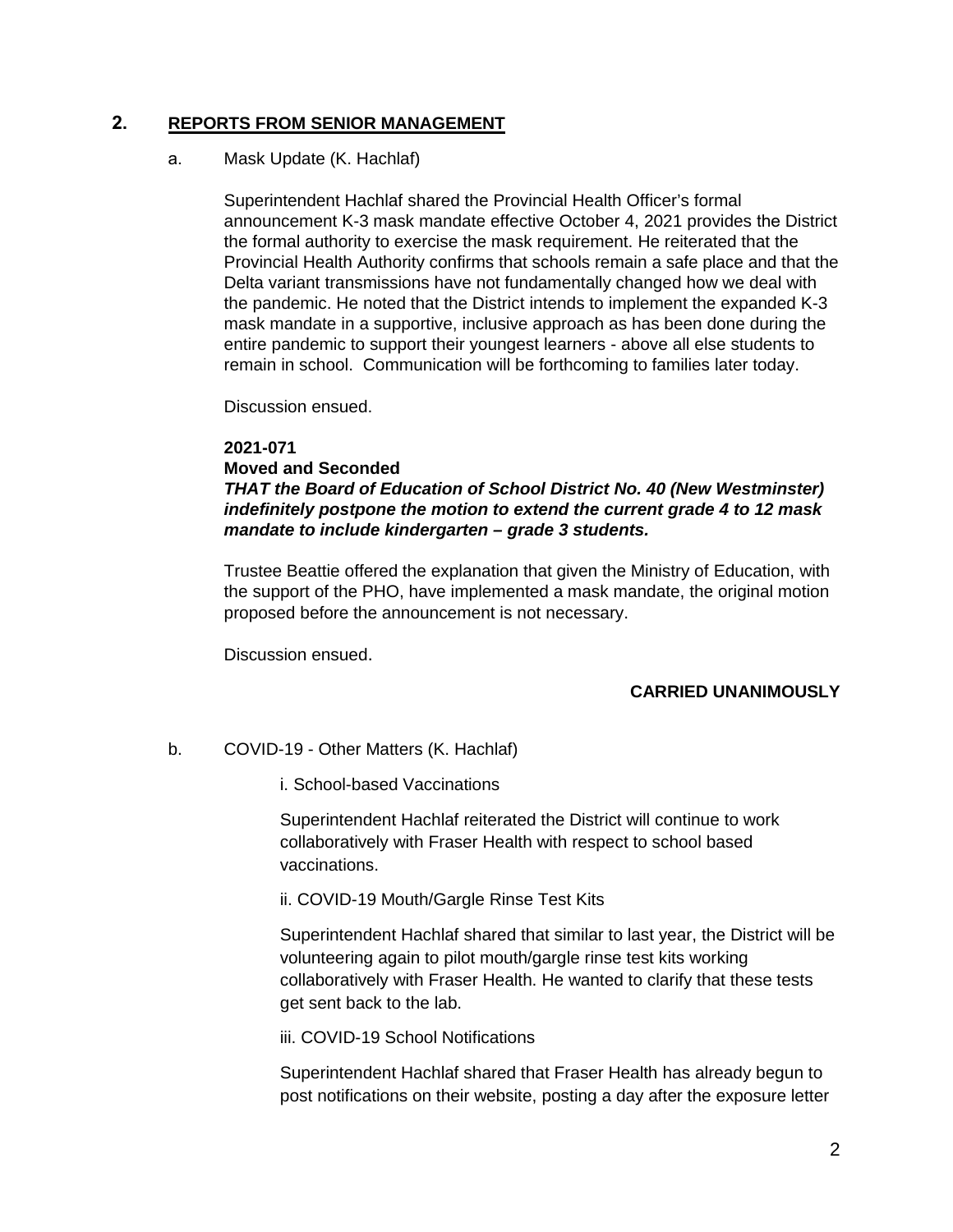# **2. REPORTS FROM SENIOR MANAGEMENT**

## a. Mask Update (K. Hachlaf)

Superintendent Hachlaf shared the Provincial Health Officer's formal announcement K-3 mask mandate effective October 4, 2021 provides the District the formal authority to exercise the mask requirement. He reiterated that the Provincial Health Authority confirms that schools remain a safe place and that the Delta variant transmissions have not fundamentally changed how we deal with the pandemic. He noted that the District intends to implement the expanded K-3 mask mandate in a supportive, inclusive approach as has been done during the entire pandemic to support their youngest learners - above all else students to remain in school. Communication will be forthcoming to families later today.

Discussion ensued.

#### **2021-071**

#### **Moved and Seconded**

# *THAT the Board of Education of School District No. 40 (New Westminster) indefinitely postpone the motion to extend the current grade 4 to 12 mask mandate to include kindergarten – grade 3 students.*

Trustee Beattie offered the explanation that given the Ministry of Education, with the support of the PHO, have implemented a mask mandate, the original motion proposed before the announcement is not necessary.

Discussion ensued.

# **CARRIED UNANIMOUSLY**

# b. COVID-19 - Other Matters (K. Hachlaf)

i. School-based Vaccinations

Superintendent Hachlaf reiterated the District will continue to work collaboratively with Fraser Health with respect to school based vaccinations.

ii. COVID-19 Mouth/Gargle Rinse Test Kits

Superintendent Hachlaf shared that similar to last year, the District will be volunteering again to pilot mouth/gargle rinse test kits working collaboratively with Fraser Health. He wanted to clarify that these tests get sent back to the lab.

iii. COVID-19 School Notifications

Superintendent Hachlaf shared that Fraser Health has already begun to post notifications on their website, posting a day after the exposure letter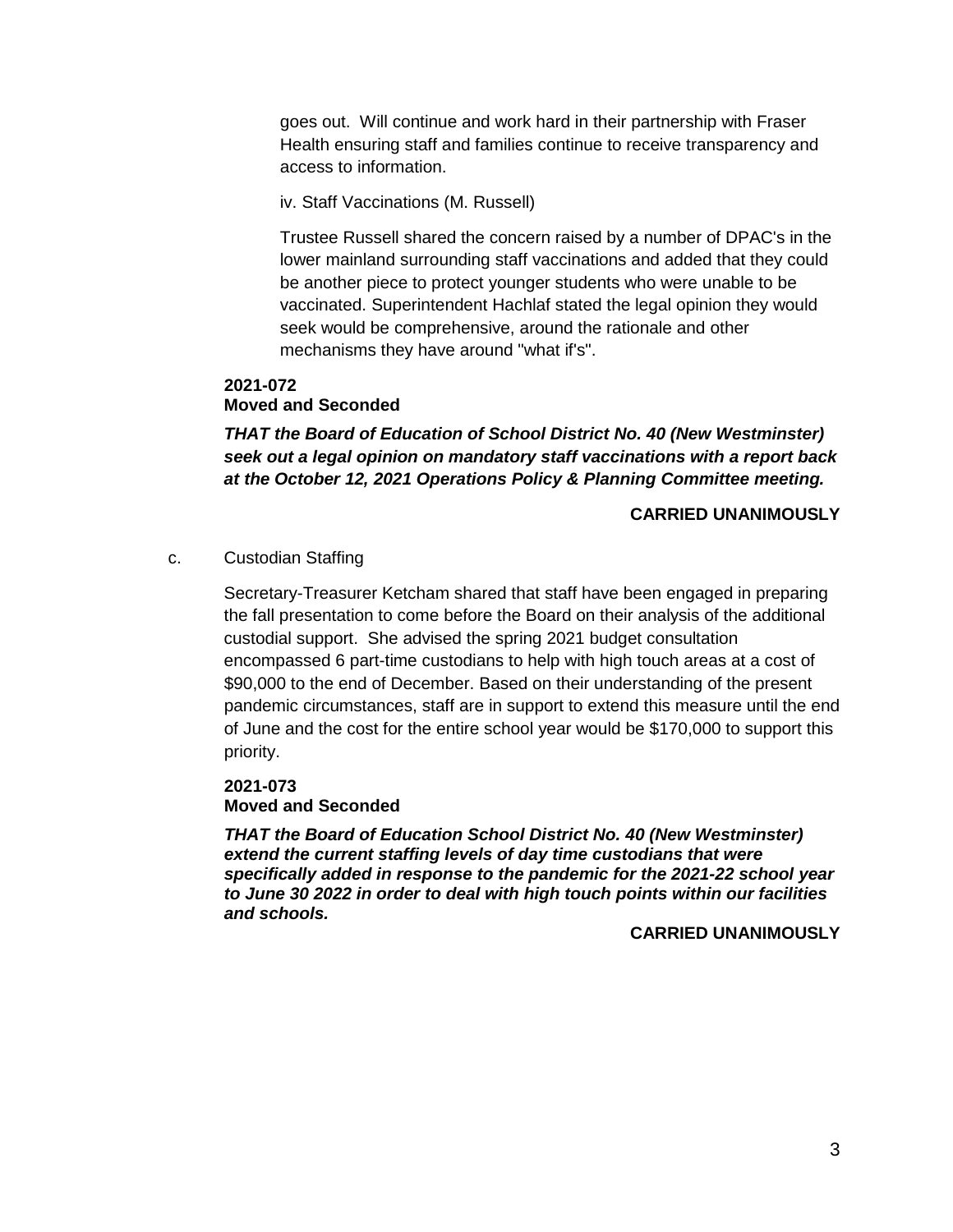goes out. Will continue and work hard in their partnership with Fraser Health ensuring staff and families continue to receive transparency and access to information.

iv. Staff Vaccinations (M. Russell)

Trustee Russell shared the concern raised by a number of DPAC's in the lower mainland surrounding staff vaccinations and added that they could be another piece to protect younger students who were unable to be vaccinated. Superintendent Hachlaf stated the legal opinion they would seek would be comprehensive, around the rationale and other mechanisms they have around "what if's".

# **2021-072 Moved and Seconded**

*THAT the Board of Education of School District No. 40 (New Westminster) seek out a legal opinion on mandatory staff vaccinations with a report back at the October 12, 2021 Operations Policy & Planning Committee meeting.*

# **CARRIED UNANIMOUSLY**

c. Custodian Staffing

Secretary-Treasurer Ketcham shared that staff have been engaged in preparing the fall presentation to come before the Board on their analysis of the additional custodial support. She advised the spring 2021 budget consultation encompassed 6 part-time custodians to help with high touch areas at a cost of \$90,000 to the end of December. Based on their understanding of the present pandemic circumstances, staff are in support to extend this measure until the end of June and the cost for the entire school year would be \$170,000 to support this priority.

# **2021-073 Moved and Seconded**

*THAT the Board of Education School District No. 40 (New Westminster) extend the current staffing levels of day time custodians that were specifically added in response to the pandemic for the 2021-22 school year to June 30 2022 in order to deal with high touch points within our facilities and schools.*

**CARRIED UNANIMOUSLY**